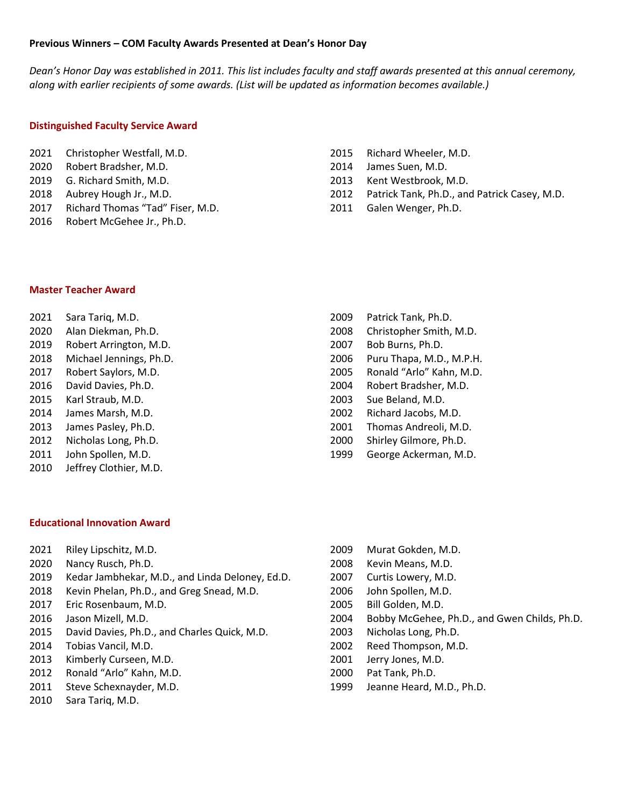## **Previous Winners – COM Faculty Awards Presented at Dean's Honor Day**

*Dean's Honor Day was established in 2011. This list includes faculty and staff awards presented at this annual ceremony, along with earlier recipients of some awards. (List will be updated as information becomes available.)*

# **Distinguished Faculty Service Award**

- Christopher Westfall, M.D.
- Robert Bradsher, M.D.
- G. Richard Smith, M.D.
- Aubrey Hough Jr., M.D.
- Richard Thomas "Tad" Fiser, M.D.
- Robert McGehee Jr., Ph.D.
- Richard Wheeler, M.D.
- James Suen, M.D.
- Kent Westbrook, M.D.
- Patrick Tank, Ph.D., and Patrick Casey, M.D.
- Galen Wenger, Ph.D.

Patrick Tank, Ph.D.

#### **Master Teacher Award**

- Sara Tariq, M.D.
- Alan Diekman, Ph.D.
- Robert Arrington, M.D.
- Michael Jennings, Ph.D.
- Robert Saylors, M.D.
- David Davies, Ph.D.
- Karl Straub, M.D.
- James Marsh, M.D.
- James Pasley, Ph.D.
- Nicholas Long, Ph.D.
- John Spollen, M.D.
- Jeffrey Clothier, M.D.

## **Educational Innovation Award**

- Riley Lipschitz, M.D.
- Nancy Rusch, Ph.D.
- Kedar Jambhekar, M.D., and Linda Deloney, Ed.D.
- Kevin Phelan, Ph.D., and Greg Snead, M.D.
- Eric Rosenbaum, M.D.
- Jason Mizell, M.D.
- David Davies, Ph.D., and Charles Quick, M.D.
- Tobias Vancil, M.D.
- Kimberly Curseen, M.D.
- Ronald "Arlo" Kahn, M.D.
- Steve Schexnayder, M.D.
- Sara Tariq, M.D.
- Christopher Smith, M.D. Bob Burns, Ph.D. Puru Thapa, M.D., M.P.H. Ronald "Arlo" Kahn, M.D. Robert Bradsher, M.D. Sue Beland, M.D. Richard Jacobs, M.D. Thomas Andreoli, M.D.
- Shirley Gilmore, Ph.D.
- George Ackerman, M.D.

- Murat Gokden, M.D.
- Kevin Means, M.D.
- Curtis Lowery, M.D.
- John Spollen, M.D.
- Bill Golden, M.D.
- Bobby McGehee, Ph.D., and Gwen Childs, Ph.D.
- Nicholas Long, Ph.D.
- Reed Thompson, M.D.
- Jerry Jones, M.D.
- Pat Tank, Ph.D.
- Jeanne Heard, M.D., Ph.D.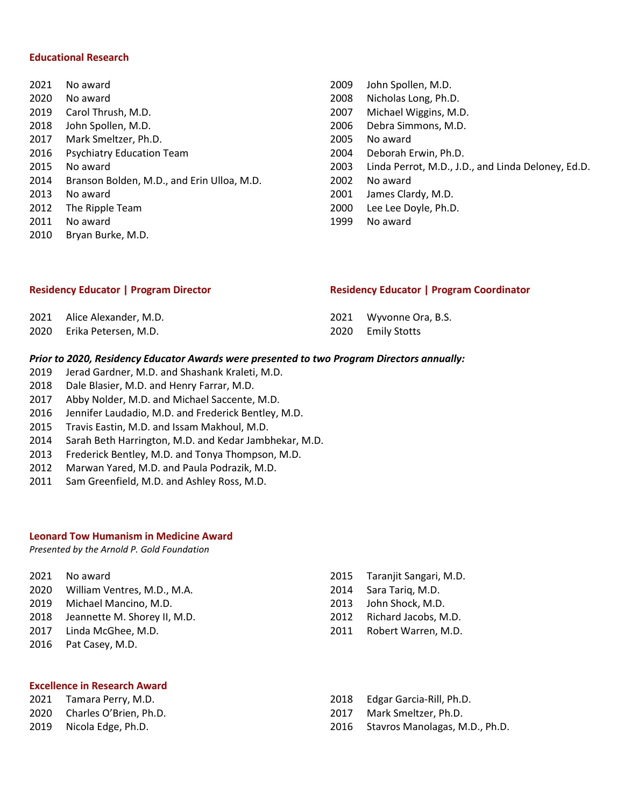## **Educational Research**

- No award No award Carol Thrush, M.D. John Spollen, M.D. Mark Smeltzer, Ph.D. Psychiatry Education Team No award Branson Bolden, M.D., and Erin Ulloa, M.D. No award The Ripple Team No award Bryan Burke, M.D.
- John Spollen, M.D. Nicholas Long, Ph.D. Michael Wiggins, M.D. Debra Simmons, M.D. No award Deborah Erwin, Ph.D. Linda Perrot, M.D., J.D., and Linda Deloney, Ed.D. No award James Clardy, M.D. Lee Lee Doyle, Ph.D. No award

| <b>Residency Educator   Program Coordinator</b> | <b>Residency Educator   Program Director</b> |  |  |
|-------------------------------------------------|----------------------------------------------|--|--|
|-------------------------------------------------|----------------------------------------------|--|--|

| 2021 Alice Alexander, M.D. | 2021 Wyvonne Ora, B.S. |
|----------------------------|------------------------|
| 2020 Erika Petersen, M.D.  | 2020 Emily Stotts      |

## *Prior to 2020, Residency Educator Awards were presented to two Program Directors annually:*

- Jerad Gardner, M.D. and Shashank Kraleti, M.D.
- Dale Blasier, M.D. and Henry Farrar, M.D.
- Abby Nolder, M.D. and Michael Saccente, M.D.
- Jennifer Laudadio, M.D. and Frederick Bentley, M.D.
- Travis Eastin, M.D. and Issam Makhoul, M.D.
- Sarah Beth Harrington, M.D. and Kedar Jambhekar, M.D.
- Frederick Bentley, M.D. and Tonya Thompson, M.D.
- Marwan Yared, M.D. and Paula Podrazik, M.D.
- Sam Greenfield, M.D. and Ashley Ross, M.D.

## **Leonard Tow Humanism in Medicine Award**

*Presented by the Arnold P. Gold Foundation*

- No award
- William Ventres, M.D., M.A.
- Michael Mancino, M.D.
- Jeannette M. Shorey II, M.D.
- Linda McGhee, M.D.
- Pat Casey, M.D.

## Taranjit Sangari, M.D. Sara Tariq, M.D.

- John Shock, M.D.
- Richard Jacobs, M.D.
- Robert Warren, M.D.

- **Excellence in Research Award**
- Tamara Perry, M.D.
- Charles O'Brien, Ph.D.
- Nicola Edge, Ph.D.
- Edgar Garcia-Rill, Ph.D.
- Mark Smeltzer, Ph.D.
- Stavros Manolagas, M.D., Ph.D.